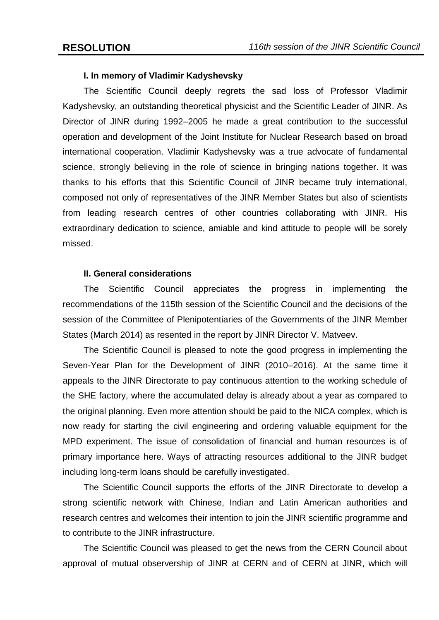## **I. In memory of Vladimir Kadyshevsky**

The Scientific Council deeply regrets the sad loss of Professor Vladimir Kadyshevsky, an outstanding theoretical physicist and the Scientific Leader of JINR. As Director of JINR during 1992–2005 he made a great contribution to the successful operation and development of the Joint Institute for Nuclear Research based on broad international cooperation. Vladimir Kadyshevsky was a true advocate of fundamental science, strongly believing in the role of science in bringing nations together. It was thanks to his efforts that this Scientific Council of JINR became truly international, composed not only of representatives of the JINR Member States but also of scientists from leading research centres of other countries collaborating with JINR. His extraordinary dedication to science, amiable and kind attitude to people will be sorely missed.

## **II. General considerations**

The Scientific Council appreciates the progress in implementing the recommendations of the 115th session of the Scientific Council and the decisions of the session of the Committee of Plenipotentiaries of the Governments of the JINR Member States (March 2014) as resented in the report by JINR Director V. Matveev.

The Scientific Council is pleased to note the good progress in implementing the Seven-Year Plan for the Development of JINR (2010–2016). At the same time it appeals to the JINR Directorate to pay continuous attention to the working schedule of the SHE factory, where the accumulated delay is already about a year as compared to the original planning. Even more attention should be paid to the NICA complex, which is now ready for starting the civil engineering and ordering valuable equipment for the MPD experiment. The issue of consolidation of financial and human resources is of primary importance here. Ways of attracting resources additional to the JINR budget including long-term loans should be carefully investigated.

The Scientific Council supports the efforts of the JINR Directorate to develop a strong scientific network with Chinese, Indian and Latin American authorities and research centres and welcomes their intention to join the JINR scientific programme and to contribute to the JINR infrastructure.

The Scientific Council was pleased to get the news from the CERN Council about approval of mutual observership of JINR at CERN and of CERN at JINR, which will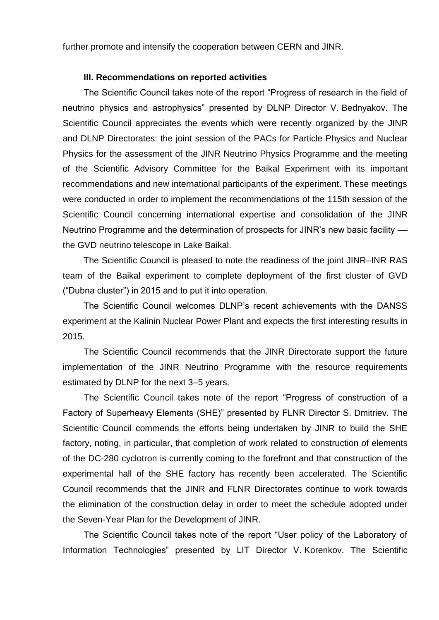further promote and intensify the cooperation between CERN and JINR.

## **III. Recommendations on reported activities**

The Scientific Council takes note of the report "Progress of research in the field of neutrino physics and astrophysics" presented by DLNP Director V. Bednyakov. The Scientific Council appreciates the events which were recently organized by the JINR and DLNP Directorates: the joint session of the PACs for Particle Physics and Nuclear Physics for the assessment of the JINR Neutrino Physics Programme and the meeting of the Scientific Advisory Committee for the Baikal Experiment with its important recommendations and new international participants of the experiment. These meetings were conducted in order to implement the recommendations of the 115th session of the Scientific Council concerning international expertise and consolidation of the JINR Neutrino Programme and the determination of prospects for JINR's new basic facility –– the GVD neutrino telescope in Lake Baikal.

The Scientific Council is pleased to note the readiness of the joint JINR–INR RAS team of the Baikal experiment to complete deployment of the first cluster of GVD ("Dubna cluster") in 2015 and to put it into operation.

The Scientific Council welcomes DLNP's recent achievements with the DANSS experiment at the Kalinin Nuclear Power Plant and expects the first interesting results in 2015.

The Scientific Council recommends that the JINR Directorate support the future implementation of the JINR Neutrino Programme with the resource requirements estimated by DLNP for the next 3–5 years.

The Scientific Council takes note of the report "Progress of construction of a Factory of Superheavy Elements (SHE)" presented by FLNR Director S. Dmitriev. The Scientific Council commends the efforts being undertaken by JINR to build the SHE factory, noting, in particular, that completion of work related to construction of elements of the DC-280 cyclotron is currently coming to the forefront and that construction of the experimental hall of the SHE factory has recently been accelerated. The Scientific Council recommends that the JINR and FLNR Directorates continue to work towards the elimination of the construction delay in order to meet the schedule adopted under the Seven-Year Plan for the Development of JINR.

The Scientific Council takes note of the report "User policy of the Laboratory of Information Technologies" presented by LIT Director V. Korenkov. The Scientific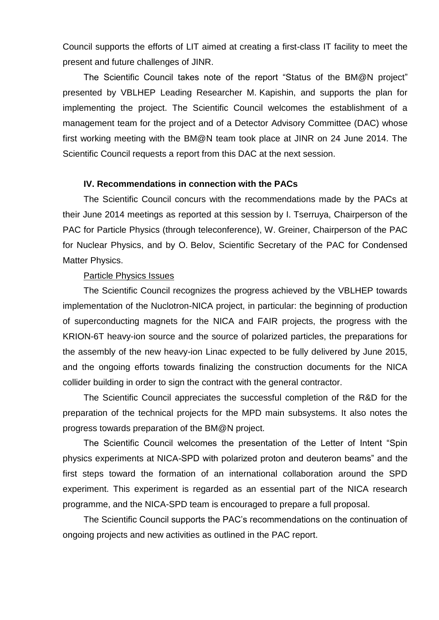Council supports the efforts of LIT aimed at creating a first-class IT facility to meet the present and future challenges of JINR.

The Scientific Council takes note of the report "Status of the BM@N project" presented by VBLHEP Leading Researcher M. Kapishin, and supports the plan for implementing the project. The Scientific Council welcomes the establishment of a management team for the project and of a Detector Advisory Committee (DAC) whose first working meeting with the BM@N team took place at JINR on 24 June 2014. The Scientific Council requests a report from this DAC at the next session.

## **IV. Recommendations in connection with the PACs**

The Scientific Council concurs with the recommendations made by the PACs at their June 2014 meetings as reported at this session by I. Tserruya, Chairperson of the PAC for Particle Physics (through teleconference), W. Greiner, Chairperson of the PAC for Nuclear Physics, and by O. Belov, Scientific Secretary of the PAC for Condensed Matter Physics.

#### Particle Physics Issues

The Scientific Council recognizes the progress achieved by the VBLHEP towards implementation of the Nuclotron-NICA project, in particular: the beginning of production of superconducting magnets for the NICA and FAIR projects, the progress with the KRION-6T heavy-ion source and the source of polarized particles, the preparations for the assembly of the new heavy-ion Linac expected to be fully delivered by June 2015, and the ongoing efforts towards finalizing the construction documents for the NICA collider building in order to sign the contract with the general contractor.

The Scientific Council appreciates the successful completion of the R&D for the preparation of the technical projects for the MPD main subsystems. It also notes the progress towards preparation of the BM@N project.

The Scientific Council welcomes the presentation of the Letter of Intent "Spin physics experiments at NICA-SPD with polarized proton and deuteron beams" and the first steps toward the formation of an international collaboration around the SPD experiment. This experiment is regarded as an essential part of the NICA research programme, and the NICA-SPD team is encouraged to prepare a full proposal.

The Scientific Council supports the PAC's recommendations on the continuation of ongoing projects and new activities as outlined in the PAC report.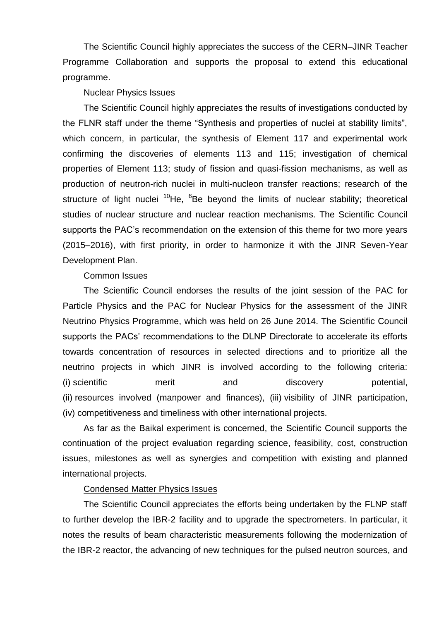The Scientific Council highly appreciates the success of the CERN–JINR Teacher Programme Collaboration and supports the proposal to extend this educational programme.

#### Nuclear Physics Issues

The Scientific Council highly appreciates the results of investigations conducted by the FLNR staff under the theme "Synthesis and properties of nuclei at stability limits", which concern, in particular, the synthesis of Element 117 and experimental work confirming the discoveries of elements 113 and 115; investigation of chemical properties of Element 113; study of fission and quasi-fission mechanisms, as well as production of neutron-rich nuclei in multi-nucleon transfer reactions; research of the structure of light nuclei  $10$ He,  $6$ Be beyond the limits of nuclear stability; theoretical studies of nuclear structure and nuclear reaction mechanisms. The Scientific Council supports the PAC's recommendation on the extension of this theme for two more years (2015–2016), with first priority, in order to harmonize it with the JINR Seven-Year Development Plan.

#### Common Issues

The Scientific Council endorses the results of the joint session of the PAC for Particle Physics and the PAC for Nuclear Physics for the assessment of the JINR Neutrino Physics Programme, which was held on 26 June 2014. The Scientific Council supports the PACs' recommendations to the DLNP Directorate to accelerate its efforts towards concentration of resources in selected directions and to prioritize all the neutrino projects in which JINR is involved according to the following criteria: (i) scientific merit and discovery potential, (ii) resources involved (manpower and finances), (iii) visibility of JINR participation, (iv) competitiveness and timeliness with other international projects.

As far as the Baikal experiment is concerned, the Scientific Council supports the continuation of the project evaluation regarding science, feasibility, cost, construction issues, milestones as well as synergies and competition with existing and planned international projects.

## Condensed Matter Physics Issues

The Scientific Council appreciates the efforts being undertaken by the FLNP staff to further develop the IBR-2 facility and to upgrade the spectrometers. In particular, it notes the results of beam characteristic measurements following the modernization of the IBR-2 reactor, the advancing of new techniques for the pulsed neutron sources, and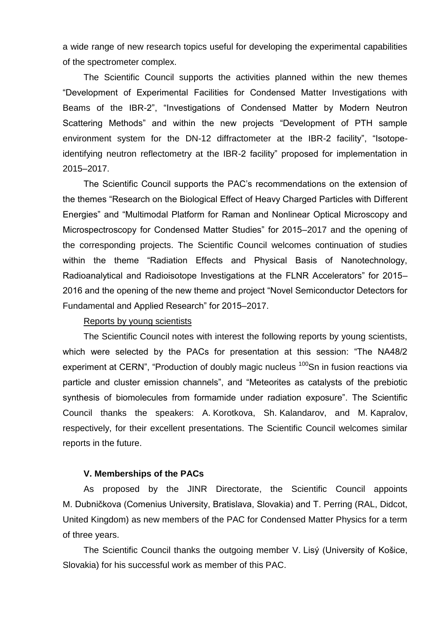a wide range of new research topics useful for developing the experimental capabilities of the spectrometer complex.

The Scientific Council supports the activities planned within the new themes "Development of Experimental Facilities for Condensed Matter Investigations with Beams of the IBR-2", "Investigations of Condensed Matter by Modern Neutron Scattering Methods" and within the new projects "Development of PTH sample environment system for the DN-12 diffractometer at the IBR-2 facility", "Isotopeidentifying neutron reflectometry at the IBR-2 facility" proposed for implementation in 2015–2017.

The Scientific Council supports the PAC's recommendations on the extension of the themes "Research on the Biological Effect of Heavy Charged Particles with Different Energies" and "Multimodal Platform for Raman and Nonlinear Optical Microscopy and Microspectroscopy for Condensed Matter Studies" for 2015–2017 and the opening of the corresponding projects. The Scientific Council welcomes continuation of studies within the theme "Radiation Effects and Physical Basis of Nanotechnology, Radioanalytical and Radioisotope Investigations at the FLNR Accelerators" for 2015– 2016 and the opening of the new theme and project "Novel Semiconductor Detectors for Fundamental and Applied Research" for 2015–2017.

### Reports by young scientists

The Scientific Council notes with interest the following reports by young scientists, which were selected by the PACs for presentation at this session: "The NA48/2 experiment at CERN", "Production of doubly magic nucleus <sup>100</sup>Sn in fusion reactions via particle and cluster emission channels", and "Meteorites as catalysts of the prebiotic synthesis of biomolecules from formamide under radiation exposure". The Scientific Council thanks the speakers: A. Korotkova, Sh. Kalandarov, and M. Kapralov, respectively, for their excellent presentations. The Scientific Council welcomes similar reports in the future.

### **V. Memberships of the PACs**

As proposed by the JINR Directorate, the Scientific Council appoints M. Dubničkova (Comenius University, Bratislava, Slovakia) and T. Perring (RAL, Didcot, United Kingdom) as new members of the PAC for Condensed Matter Physics for a term of three years.

The Scientific Council thanks the outgoing member V. Lisý (University of Košice, Slovakia) for his successful work as member of this PAC.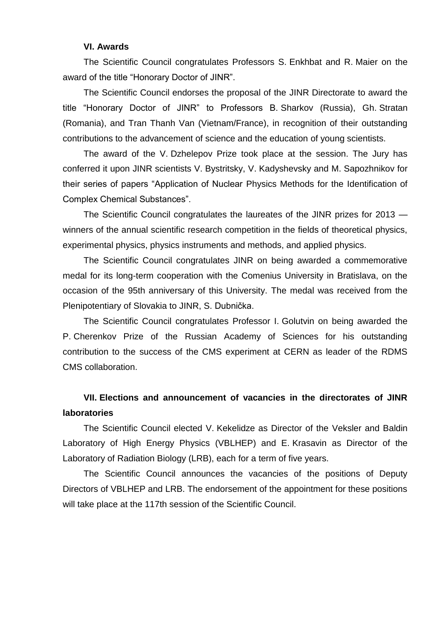#### **VI. Awards**

The Scientific Council congratulates Professors S. Enkhbat and R. Maier on the award of the title "Honorary Doctor of JINR".

The Scientific Council endorses the proposal of the JINR Directorate to award the title "Honorary Doctor of JINR" to Professors B. Sharkov (Russia), Gh. Stratan (Romania), and Tran Thanh Van (Vietnam/France), in recognition of their outstanding contributions to the advancement of science and the education of young scientists.

The award of the V. Dzhelepov Prize took place at the session. The Jury has conferred it upon JINR scientists V. Bystritsky, V. Kadyshevsky and M. Sapozhnikov for their series of papers "Application of Nuclear Physics Methods for the Identification of Complex Chemical Substances".

The Scientific Council congratulates the laureates of the JINR prizes for 2013 winners of the annual scientific research competition in the fields of theoretical physics, experimental physics, physics instruments and methods, and applied physics.

The Scientific Council congratulates JINR on being awarded a commemorative medal for its long-term cooperation with the Comenius University in Bratislava, on the occasion of the 95th anniversary of this University. The medal was received from the Plenipotentiary of Slovakia to JINR, S. Dubnička.

The Scientific Council congratulates Professor I. Golutvin on being awarded the P. Cherenkov Prize of the Russian Academy of Sciences for his outstanding contribution to the success of the CMS experiment at CERN as leader of the RDMS CMS collaboration.

# **VII. Elections and announcement of vacancies in the directorates of JINR laboratories**

The Scientific Council elected V. Kekelidze as Director of the Veksler and Baldin Laboratory of High Energy Physics (VBLHEP) and E. Krasavin as Director of the Laboratory of Radiation Biology (LRB), each for a term of five years.

The Scientific Council announces the vacancies of the positions of Deputy Directors of VBLHEP and LRB. The endorsement of the appointment for these positions will take place at the 117th session of the Scientific Council.